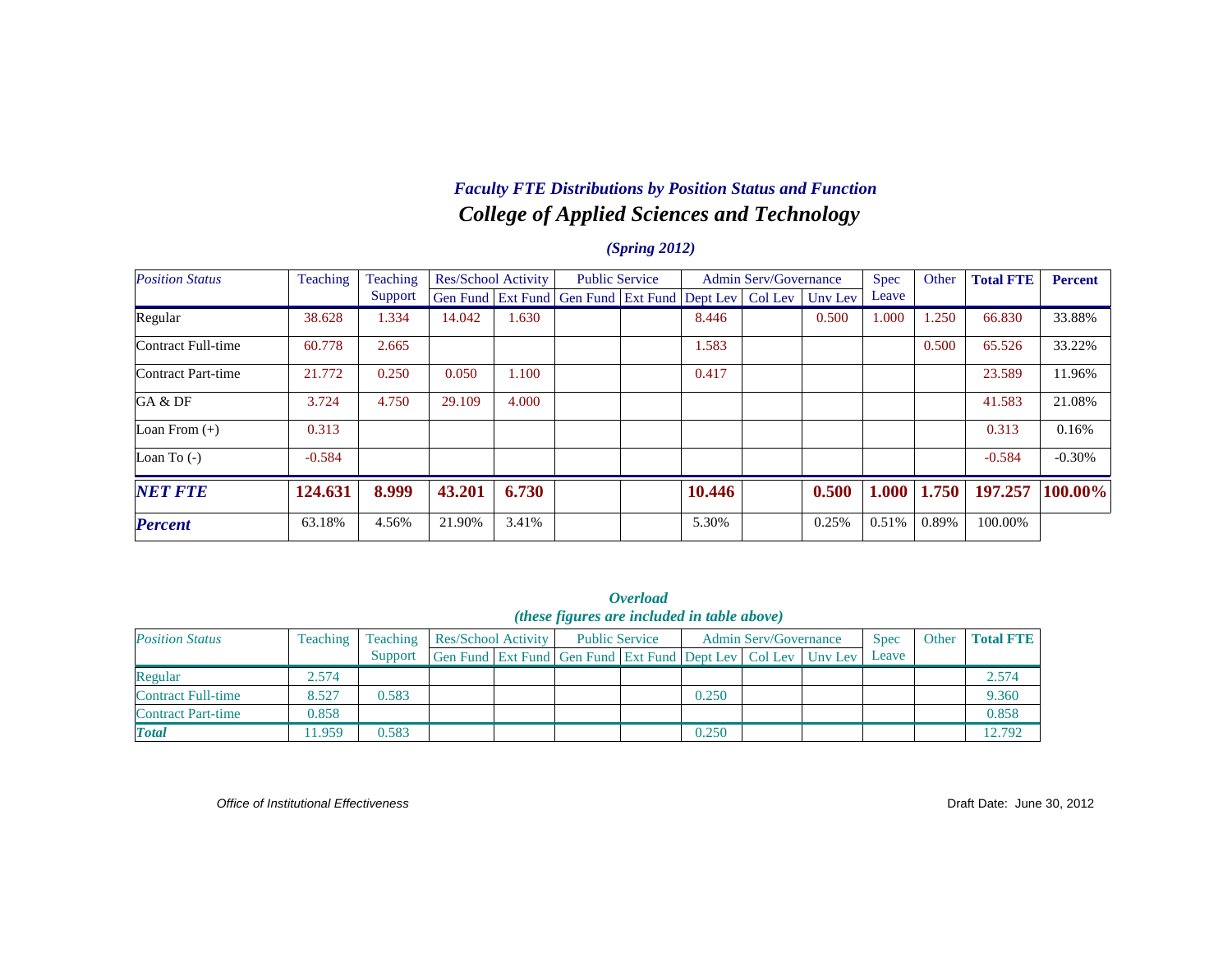# *College of Applied Sciences and Technology Faculty FTE Distributions by Position Status and Function*

#### *(Spring 2012)*

| <b>Position Status</b> | Teaching | Teaching |        | Res/School Activity |                                                                  | <b>Public Service</b> |        | <b>Admin Serv/Governance</b> |       | <b>Spec</b> | Other | <b>Total FTE</b> | <b>Percent</b> |
|------------------------|----------|----------|--------|---------------------|------------------------------------------------------------------|-----------------------|--------|------------------------------|-------|-------------|-------|------------------|----------------|
|                        |          | Support  |        |                     | Gen Fund Ext Fund Gen Fund Ext Fund Dept Lev   Col Lev   Unv Lev |                       |        |                              |       | Leave       |       |                  |                |
| Regular                | 38.628   | 1.334    | 14.042 | 1.630               |                                                                  |                       | 8.446  |                              | 0.500 | 1.000       | .250  | 66.830           | 33.88%         |
| Contract Full-time     | 60.778   | 2.665    |        |                     |                                                                  |                       | 1.583  |                              |       |             | 0.500 | 65.526           | 33.22%         |
| Contract Part-time     | 21.772   | 0.250    | 0.050  | 1.100               |                                                                  |                       | 0.417  |                              |       |             |       | 23.589           | 11.96%         |
| GA & DF                | 3.724    | 4.750    | 29.109 | 4.000               |                                                                  |                       |        |                              |       |             |       | 41.583           | 21.08%         |
| Loan From $(+)$        | 0.313    |          |        |                     |                                                                  |                       |        |                              |       |             |       | 0.313            | 0.16%          |
| Loan To $(-)$          | $-0.584$ |          |        |                     |                                                                  |                       |        |                              |       |             |       | $-0.584$         | $-0.30%$       |
| <b>NET FTE</b>         | 124.631  | 8.999    | 43.201 | 6.730               |                                                                  |                       | 10.446 |                              | 0.500 | 1.000       | 1.750 | 197.257          | 100.00%        |
| <b>Percent</b>         | 63.18%   | 4.56%    | 21.90% | 3.41%               |                                                                  |                       | 5.30%  |                              | 0.25% | 0.51%       | 0.89% | 100.00%          |                |

|                           |          |          |                     |                                                              | <i><b>Overload</b></i> |       |                              |             |       |                  |
|---------------------------|----------|----------|---------------------|--------------------------------------------------------------|------------------------|-------|------------------------------|-------------|-------|------------------|
|                           |          |          |                     | ( <i>these figures are included in table above</i> )         |                        |       |                              |             |       |                  |
| <b>Position Status</b>    | Teaching | Teaching | Res/School Activity | <b>Public Service</b>                                        |                        |       | <b>Admin Serv/Governance</b> | <b>Spec</b> | Other | <b>Total FTE</b> |
|                           |          | Support  |                     | Gen Fund Ext Fund Gen Fund Ext Fund Dept Lev Col Lev Unv Lev |                        |       |                              | Leave       |       |                  |
| Regular                   | 2.574    |          |                     |                                                              |                        |       |                              |             |       | 2.574            |
| <b>Contract Full-time</b> | 8.527    | 0.583    |                     |                                                              |                        | 0.250 |                              |             |       | 9.360            |
| <b>Contract Part-time</b> | 0.858    |          |                     |                                                              |                        |       |                              |             |       | 0.858            |
| <b>Total</b>              | 11.959   | 0.583    |                     |                                                              |                        | 0.250 |                              |             |       | 12.792           |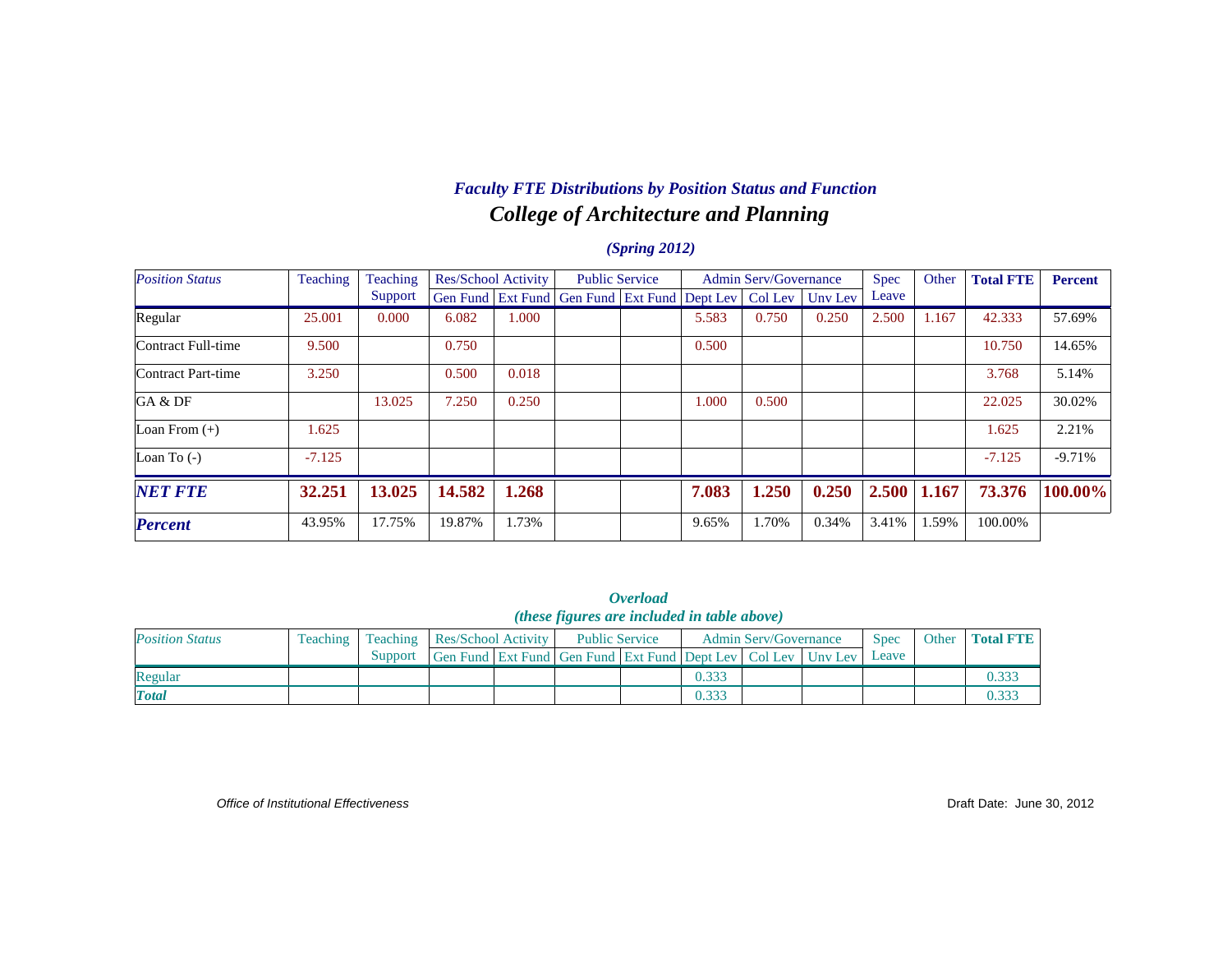# *College of Architecture and Planning Faculty FTE Distributions by Position Status and Function*

#### *(Spring 2012)*

| <b>Position Status</b> | Teaching | Teaching |        | <b>Res/School Activity</b> | <b>Public Service</b>                        |       | <b>Admin Serv/Governance</b> |         | Spec  | Other | <b>Total FTE</b> | <b>Percent</b> |
|------------------------|----------|----------|--------|----------------------------|----------------------------------------------|-------|------------------------------|---------|-------|-------|------------------|----------------|
|                        |          | Support  |        |                            | Gen Fund Ext Fund Gen Fund Ext Fund Dept Lev |       | Col Lev                      | Uny Lev | Leave |       |                  |                |
| Regular                | 25.001   | 0.000    | 6.082  | 000.1                      |                                              | 5.583 | 0.750                        | 0.250   | 2.500 | 1.167 | 42.333           | 57.69%         |
| Contract Full-time     | 9.500    |          | 0.750  |                            |                                              | 0.500 |                              |         |       |       | 10.750           | 14.65%         |
| Contract Part-time     | 3.250    |          | 0.500  | 0.018                      |                                              |       |                              |         |       |       | 3.768            | 5.14%          |
| GA & DF                |          | 13.025   | 7.250  | 0.250                      |                                              | 1.000 | 0.500                        |         |       |       | 22.025           | 30.02%         |
| Loan From $(+)$        | 1.625    |          |        |                            |                                              |       |                              |         |       |       | 1.625            | 2.21%          |
| Loan To $(-)$          | $-7.125$ |          |        |                            |                                              |       |                              |         |       |       | $-7.125$         | $-9.71%$       |
| <b>NET FTE</b>         | 32.251   | 13.025   | 14.582 | 1.268                      |                                              | 7.083 | 1.250                        | 0.250   | 2.500 | 1.167 | 73.376           | $100.00\%$     |
| <b>Percent</b>         | 43.95%   | 17.75%   | 19.87% | 1.73%                      |                                              | 9.65% | 1.70%                        | 0.34%   | 3.41% | 1.59% | 100.00%          |                |

|                        |          |                 |                     |                                                                  | <i><b>Overload</b></i> |       |                              |             |       |                  |
|------------------------|----------|-----------------|---------------------|------------------------------------------------------------------|------------------------|-------|------------------------------|-------------|-------|------------------|
|                        |          |                 |                     | <i>(these figures are included in table above)</i>               |                        |       |                              |             |       |                  |
| <b>Position Status</b> | Teaching | <b>Teaching</b> | Res/School Activity | <b>Public Service</b>                                            |                        |       | <b>Admin Serv/Governance</b> | <b>Spec</b> | Other | <b>Total FTE</b> |
|                        |          | Support         |                     | Gen Fund Ext Fund Gen Fund Ext Fund Dept Lev   Col Lev   Unv Lev |                        |       |                              | Leave       |       |                  |
| Regular                |          |                 |                     |                                                                  |                        | 0.333 |                              |             |       | 0.333            |
| <b>Total</b>           |          |                 |                     |                                                                  |                        | 0.333 |                              |             |       | 0.333            |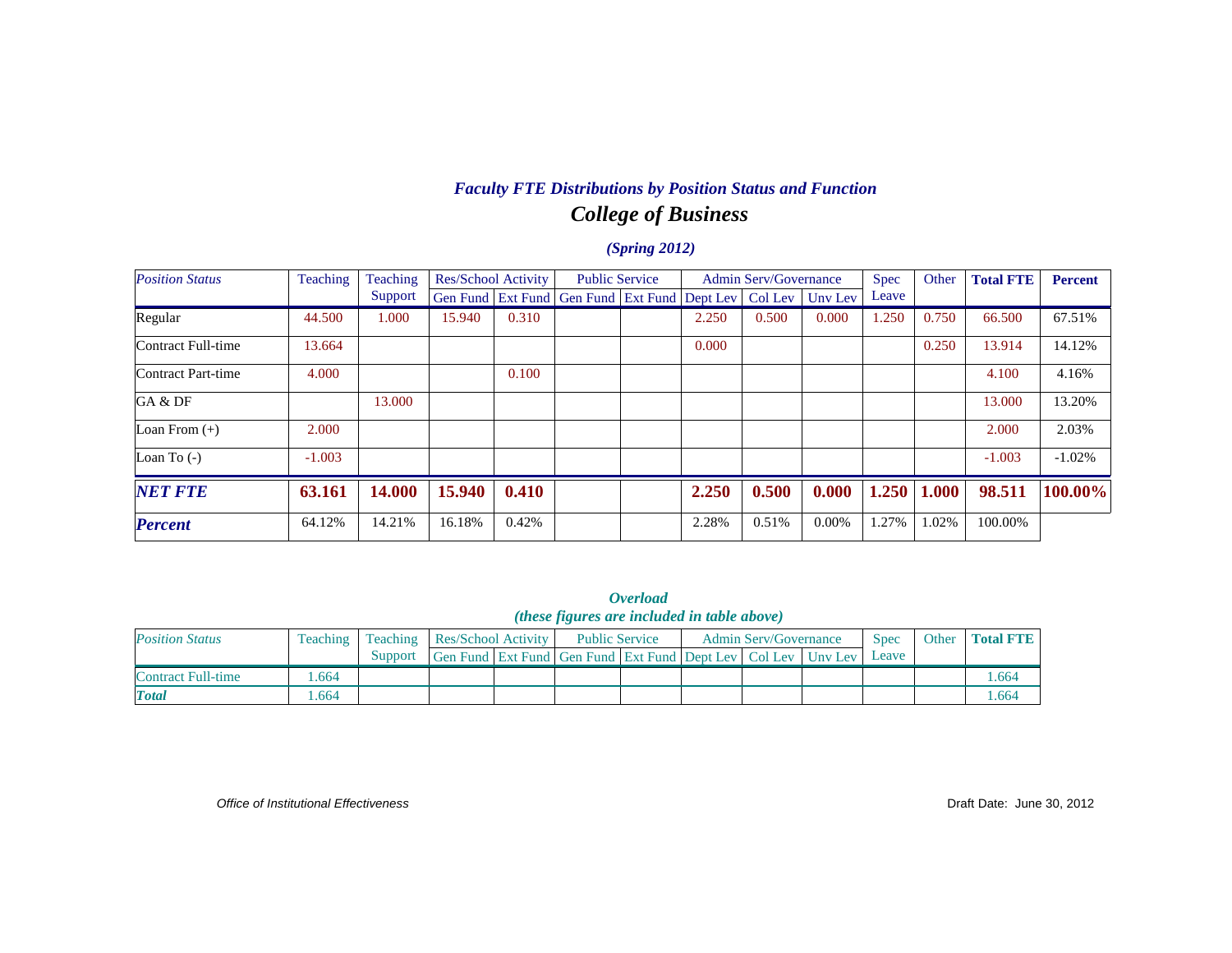# *College of Business Faculty FTE Distributions by Position Status and Function*

### *(Spring 2012)*

| <b>Position Status</b> | <b>Teaching</b> | Teaching |        | <b>Res/School Activity</b> | <b>Public Service</b>                        |       | <b>Admin Serv/Governance</b> |                 | <b>Spec</b> | Other | <b>Total FTE</b> | <b>Percent</b> |
|------------------------|-----------------|----------|--------|----------------------------|----------------------------------------------|-------|------------------------------|-----------------|-------------|-------|------------------|----------------|
|                        |                 | Support  |        |                            | Gen Fund Ext Fund Gen Fund Ext Fund Dept Lev |       |                              | Col Lev Unv Lev | Leave       |       |                  |                |
| Regular                | 44.500          | 1.000    | 15.940 | 0.310                      |                                              | 2.250 | 0.500                        | 0.000           | 1.250       | 0.750 | 66.500           | 67.51%         |
| Contract Full-time     | 13.664          |          |        |                            |                                              | 0.000 |                              |                 |             | 0.250 | 13.914           | 14.12%         |
| Contract Part-time     | 4.000           |          |        | 0.100                      |                                              |       |                              |                 |             |       | 4.100            | 4.16%          |
| GA & DF                |                 | 13.000   |        |                            |                                              |       |                              |                 |             |       | 13.000           | 13.20%         |
| Loan From $(+)$        | 2.000           |          |        |                            |                                              |       |                              |                 |             |       | 2.000            | 2.03%          |
| Loan To $(-)$          | $-1.003$        |          |        |                            |                                              |       |                              |                 |             |       | $-1.003$         | $-1.02%$       |
| <b>NET FTE</b>         | 63.161          | 14.000   | 15.940 | 0.410                      |                                              | 2.250 | 0.500                        | 0.000           | 1.250       | 1.000 | 98.511           | 100.00%        |
| <b>Percent</b>         | 64.12%          | 14.21%   | 16.18% | 0.42%                      |                                              | 2.28% | 0.51%                        | 0.00%           | .27%        | 1.02% | 100.00%          |                |

|                        |                                                                                                                                        |         |                                                              |  | <i>(these figures are included in table above)</i> | <i><b>Overload</b></i> |  |  |  |       |  |       |  |
|------------------------|----------------------------------------------------------------------------------------------------------------------------------------|---------|--------------------------------------------------------------|--|----------------------------------------------------|------------------------|--|--|--|-------|--|-------|--|
| <b>Position Status</b> | <b>Spec</b><br>Other Total FTE<br><b>Res/School Activity</b><br>Teaching<br><b>Public Service</b><br>Admin Serv/Governance<br>Teaching |         |                                                              |  |                                                    |                        |  |  |  |       |  |       |  |
|                        |                                                                                                                                        | Support | Gen Fund Ext Fund Gen Fund Ext Fund Dept Lev Col Lev Unv Lev |  |                                                    |                        |  |  |  | Leave |  |       |  |
| Contract Full-time     | .664                                                                                                                                   |         |                                                              |  |                                                    |                        |  |  |  |       |  | 1.664 |  |
| <b>Total</b>           | .664                                                                                                                                   |         |                                                              |  |                                                    |                        |  |  |  |       |  | .664  |  |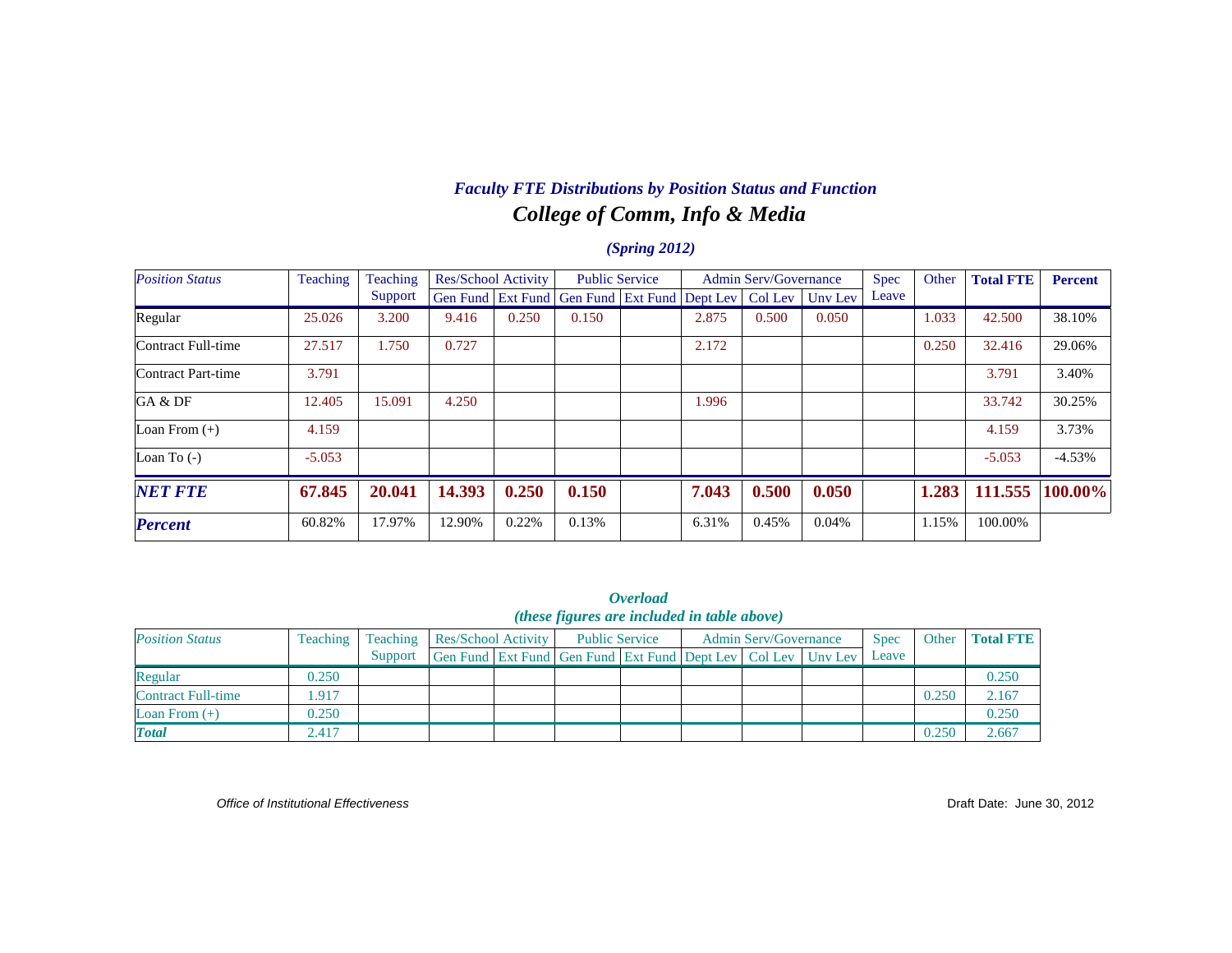# *College of Comm, Info & Media Faculty FTE Distributions by Position Status and Function*

#### *(Spring 2012)*

| <b>Position Status</b> | Teaching | Teaching |        | <b>Res/School Activity</b> |                                              | <b>Public Service</b> |       | <b>Admin Serv/Governance</b> |         | Spec  | Other | <b>Total FTE</b> | <b>Percent</b> |
|------------------------|----------|----------|--------|----------------------------|----------------------------------------------|-----------------------|-------|------------------------------|---------|-------|-------|------------------|----------------|
|                        |          | Support  |        |                            | Gen Fund Ext Fund Gen Fund Ext Fund Dept Lev |                       |       | Col Lev                      | Uny Lev | Leave |       |                  |                |
| Regular                | 25.026   | 3.200    | 9.416  | 0.250                      | 0.150                                        |                       | 2.875 | 0.500                        | 0.050   |       | 1.033 | 42.500           | 38.10%         |
| Contract Full-time     | 27.517   | 1.750    | 0.727  |                            |                                              |                       | 2.172 |                              |         |       | 0.250 | 32.416           | 29.06%         |
| Contract Part-time     | 3.791    |          |        |                            |                                              |                       |       |                              |         |       |       | 3.791            | 3.40%          |
| GA & DF                | 12.405   | 15.091   | 4.250  |                            |                                              |                       | 1.996 |                              |         |       |       | 33.742           | 30.25%         |
| Loan From $(+)$        | 4.159    |          |        |                            |                                              |                       |       |                              |         |       |       | 4.159            | 3.73%          |
| Loan To $(-)$          | $-5.053$ |          |        |                            |                                              |                       |       |                              |         |       |       | $-5.053$         | $-4.53%$       |
| <b>NET FTE</b>         | 67.845   | 20.041   | 14.393 | 0.250                      | 0.150                                        |                       | 7.043 | 0.500                        | 0.050   |       | 1.283 | 111.555          | 100.00%        |
| <b>Percent</b>         | 60.82%   | 17.97%   | 12.90% | 0.22%                      | 0.13%                                        |                       | 6.31% | 0.45%                        | 0.04%   |       | 1.15% | 100.00%          |                |

|                 | <i><b>Overload</b></i>                             |                |
|-----------------|----------------------------------------------------|----------------|
|                 | <i>(these figures are included in table above)</i> |                |
| School Activity | <b>Public Service</b>                              | Admin Serv/Gov |

| <b>Position Status</b> | Teaching | <b>Res/School Activity</b><br>Teaching |                                                                          | <b>Public Service</b> |  | <b>Admin Serv/Governance</b> | <b>Spec</b> | Other | <b>Total FTE</b> |
|------------------------|----------|----------------------------------------|--------------------------------------------------------------------------|-----------------------|--|------------------------------|-------------|-------|------------------|
|                        |          | Support                                | Gen Fund   Ext Fund   Gen Fund   Ext Fund   Dept Lev   Col Lev   Unv Lev |                       |  |                              | Leave       |       |                  |
| Regular                | 0.250    |                                        |                                                                          |                       |  |                              |             |       | 0.250            |
| Contract Full-time     | .917     |                                        |                                                                          |                       |  |                              |             | 0.250 | 2.167            |
| Loan From $(+)$        | 0.250    |                                        |                                                                          |                       |  |                              |             |       | 0.250            |
| <b>Total</b>           | 2.417    |                                        |                                                                          |                       |  |                              |             | 0.250 | 2.667            |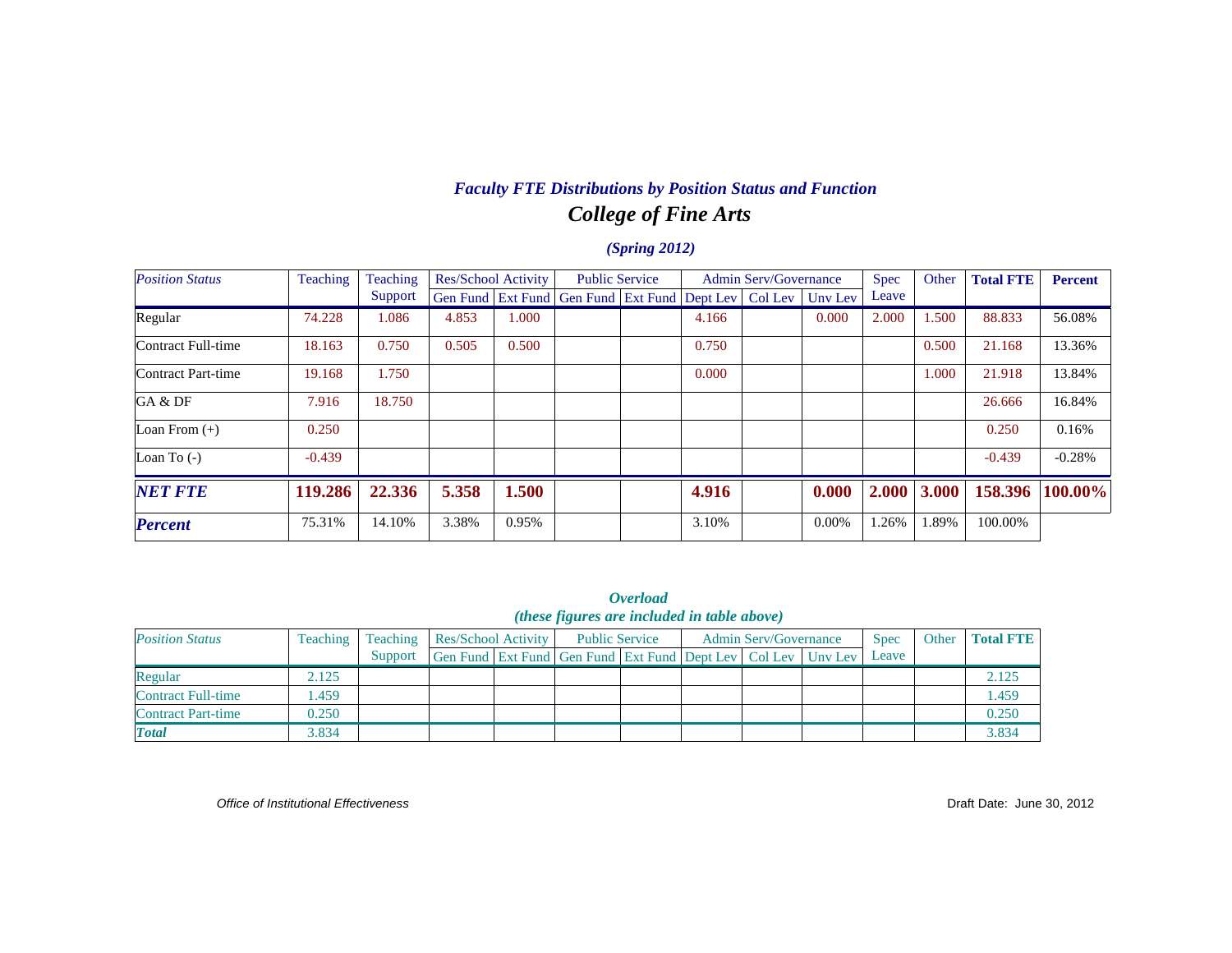# *College of Fine Arts Faculty FTE Distributions by Position Status and Function*

#### *(Spring 2012)*

| <b>Position Status</b> | Teaching | Teaching |       | Res/School Activity | <b>Public Service</b>                                          |       | <b>Admin Serv/Governance</b> |         | <b>Spec</b> | Other | <b>Total FTE</b> | <b>Percent</b> |
|------------------------|----------|----------|-------|---------------------|----------------------------------------------------------------|-------|------------------------------|---------|-------------|-------|------------------|----------------|
|                        |          | Support  |       |                     | Gen Fund   Ext Fund   Gen Fund   Ext Fund   Dept Lev   Col Lev |       |                              | Unv Lev | Leave       |       |                  |                |
| Regular                | 74.228   | 1.086    | 4.853 | 000.1               |                                                                | 4.166 |                              | 0.000   | 2.000       | l.500 | 88.833           | 56.08%         |
| Contract Full-time     | 18.163   | 0.750    | 0.505 | 0.500               |                                                                | 0.750 |                              |         |             | 0.500 | 21.168           | 13.36%         |
| Contract Part-time     | 19.168   | 1.750    |       |                     |                                                                | 0.000 |                              |         |             | 1.000 | 21.918           | 13.84%         |
| GA & DF                | 7.916    | 18.750   |       |                     |                                                                |       |                              |         |             |       | 26.666           | 16.84%         |
| Loan From $(+)$        | 0.250    |          |       |                     |                                                                |       |                              |         |             |       | 0.250            | 0.16%          |
| Loan To $(-)$          | $-0.439$ |          |       |                     |                                                                |       |                              |         |             |       | $-0.439$         | $-0.28%$       |
| <b>NET FTE</b>         | 119.286  | 22.336   | 5.358 | 1.500               |                                                                | 4.916 |                              | 0.000   | 2.000       | 3.000 | 158.396          | 100.00%        |
| <b>Percent</b>         | 75.31%   | 14.10%   | 3.38% | 0.95%               |                                                                | 3.10% |                              | 0.00%   | 1.26%       | 1.89% | 100.00%          |                |

*Overload (these figures are included in table above)*

| <b>Position Status</b> | Teaching | Teaching | Res/School Activity |                                                              | <b>Public Service</b> | <b>Admin Serv/Governance</b> | <b>Spec</b> | Other | <b>Total FTE</b> |
|------------------------|----------|----------|---------------------|--------------------------------------------------------------|-----------------------|------------------------------|-------------|-------|------------------|
|                        |          | Support  |                     | Gen Fund Ext Fund Gen Fund Ext Fund Dept Lev Col Lev Unv Lev |                       |                              | Leave       |       |                  |
| Regular                | 2.125    |          |                     |                                                              |                       |                              |             |       | 2.125            |
| Contract Full-time     | .459     |          |                     |                                                              |                       |                              |             |       | 1.459            |
| Contract Part-time     | 0.250    |          |                     |                                                              |                       |                              |             |       | 0.250            |
| <b>Total</b>           | 3.834    |          |                     |                                                              |                       |                              |             |       | 3.834            |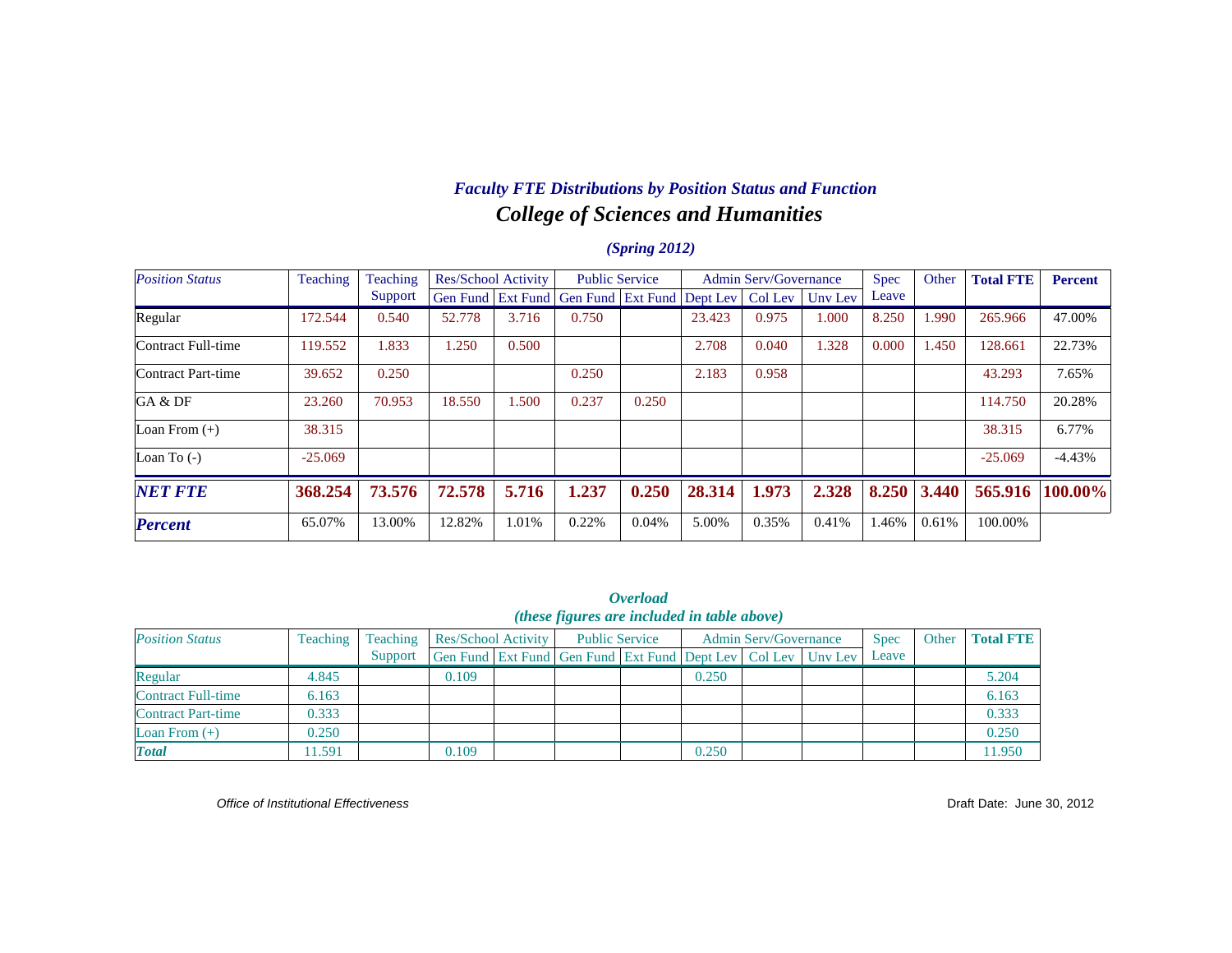# *College of Sciences and Humanities Faculty FTE Distributions by Position Status and Function*

#### *(Spring 2012)*

| <b>Position Status</b> | Teaching  | Teaching |        | Res/School Activity |                                                      | <b>Public Service</b> |        | <b>Admin Serv/Governance</b> |                 | <b>Spec</b> | Other | <b>Total FTE</b> | <b>Percent</b> |
|------------------------|-----------|----------|--------|---------------------|------------------------------------------------------|-----------------------|--------|------------------------------|-----------------|-------------|-------|------------------|----------------|
|                        |           | Support  |        |                     | Gen Fund   Ext Fund   Gen Fund   Ext Fund   Dept Lev |                       |        |                              | Col Lev Uny Lev | Leave       |       |                  |                |
| Regular                | 172.544   | 0.540    | 52.778 | 3.716               | 0.750                                                |                       | 23.423 | 0.975                        | 1.000           | 8.250       | .990  | 265.966          | 47.00%         |
| Contract Full-time     | 119.552   | 1.833    | 1.250  | 0.500               |                                                      |                       | 2.708  | 0.040                        | 1.328           | 0.000       | l.450 | 128.661          | 22.73%         |
| Contract Part-time     | 39.652    | 0.250    |        |                     | 0.250                                                |                       | 2.183  | 0.958                        |                 |             |       | 43.293           | 7.65%          |
| GA & DF                | 23.260    | 70.953   | 18.550 | 1.500               | 0.237                                                | 0.250                 |        |                              |                 |             |       | 114.750          | 20.28%         |
| Loan From $(+)$        | 38.315    |          |        |                     |                                                      |                       |        |                              |                 |             |       | 38.315           | 6.77%          |
| Loan To $(-)$          | $-25.069$ |          |        |                     |                                                      |                       |        |                              |                 |             |       | $-25.069$        | $-4.43%$       |
| <b>NET FTE</b>         | 368.254   | 73.576   | 72.578 | 5.716               | 1.237                                                | 0.250                 | 28.314 | 1.973                        | 2.328           | 8.250       | 3.440 | 565.916          | 100.00%        |
| <b>Percent</b>         | 65.07%    | 13.00%   | 12.82% | 1.01%               | 0.22%                                                | 0.04%                 | 5.00%  | 0.35%                        | 0.41%           | .46%        | 0.61% | 100.00%          |                |

| <b>Overload</b><br><i>(these figures are included in table above)</i> |          |                     |                                                                                         |  |                       |  |       |  |                              |  |       |                  |
|-----------------------------------------------------------------------|----------|---------------------|-----------------------------------------------------------------------------------------|--|-----------------------|--|-------|--|------------------------------|--|-------|------------------|
| <b>Position Status</b>                                                | Teaching | Teaching<br>Support | Res/School Activity<br>Gen Fund Ext Fund Gen Fund Ext Fund Dept Lev   Col Lev   Unv Lev |  | <b>Public Service</b> |  |       |  | <b>Admin Serv/Governance</b> |  | Other | <b>Total FTE</b> |
| Regular                                                               | 4.845    |                     | 0.109                                                                                   |  |                       |  | 0.250 |  |                              |  |       | 5.204            |
| <b>Contract Full-time</b>                                             | 6.163    |                     |                                                                                         |  |                       |  |       |  |                              |  |       | 6.163            |
| <b>Contract Part-time</b>                                             | 0.333    |                     |                                                                                         |  |                       |  |       |  |                              |  |       | 0.333            |
| Loan From $(+)$                                                       | 0.250    |                     |                                                                                         |  |                       |  |       |  |                              |  |       | 0.250            |
| <b>Total</b>                                                          | 11.591   |                     | 0.109                                                                                   |  |                       |  | 0.250 |  |                              |  |       | 11.950           |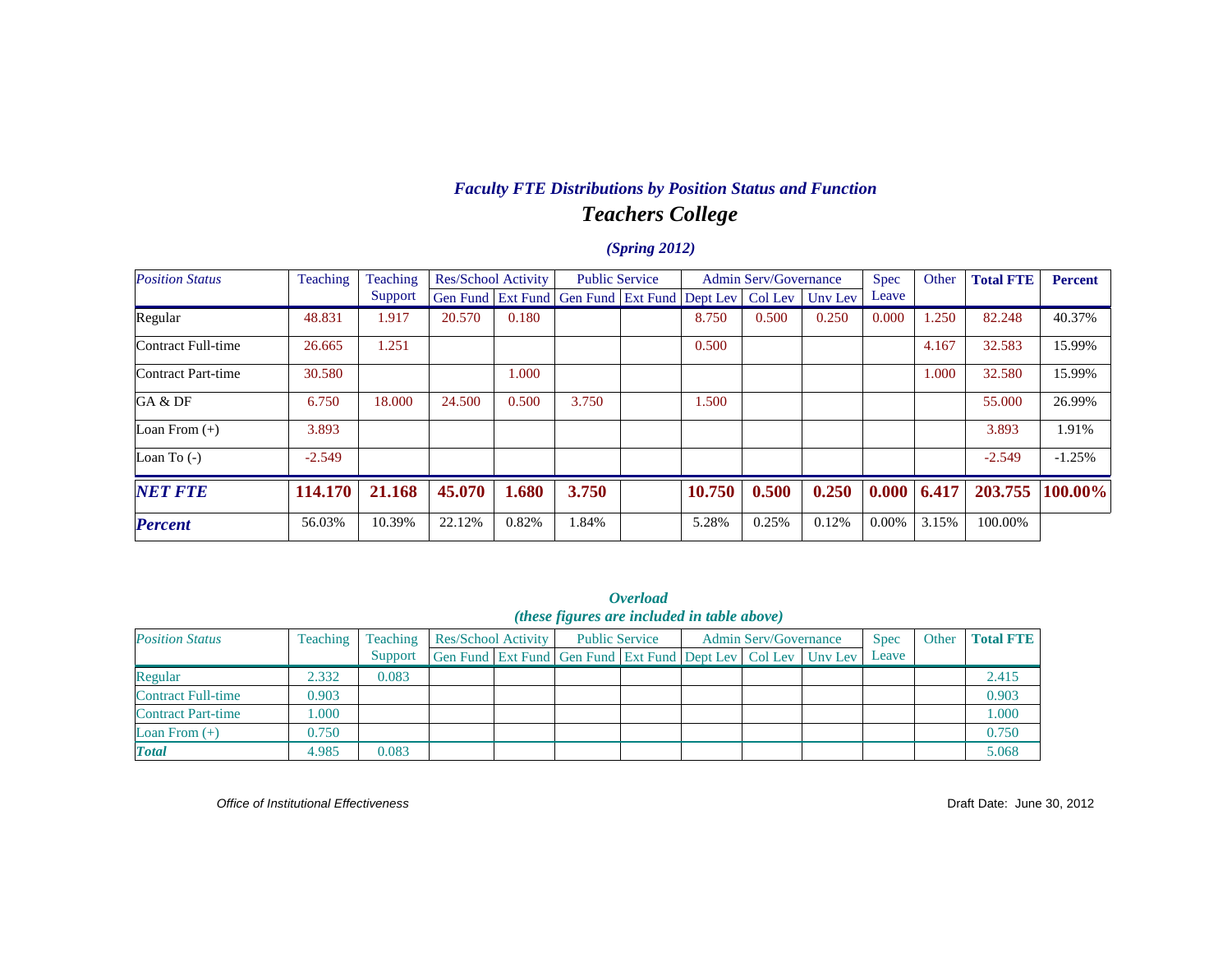# *Teachers College Faculty FTE Distributions by Position Status and Function*

#### *(Spring 2012)*

| <b>Position Status</b> | <b>Teaching</b> | Teaching |        | Res/School Activity |                                                      | <b>Public Service</b> |        | <b>Admin Serv/Governance</b> |                 | <b>Spec</b> | Other | <b>Total FTE</b> | <b>Percent</b> |
|------------------------|-----------------|----------|--------|---------------------|------------------------------------------------------|-----------------------|--------|------------------------------|-----------------|-------------|-------|------------------|----------------|
|                        |                 | Support  |        |                     | Gen Fund   Ext Fund   Gen Fund   Ext Fund   Dept Lev |                       |        |                              | Col Lev Uny Lev | Leave       |       |                  |                |
| Regular                | 48.831          | 1.917    | 20.570 | 0.180               |                                                      |                       | 8.750  | 0.500                        | 0.250           | 0.000       | .250  | 82.248           | 40.37%         |
| Contract Full-time     | 26.665          | 1.251    |        |                     |                                                      |                       | 0.500  |                              |                 |             | 4.167 | 32.583           | 15.99%         |
| Contract Part-time     | 30.580          |          |        | 1.000               |                                                      |                       |        |                              |                 |             | 1.000 | 32.580           | 15.99%         |
| GA & DF                | 6.750           | 18.000   | 24.500 | 0.500               | 3.750                                                |                       | 1.500  |                              |                 |             |       | 55,000           | 26.99%         |
| Loan From $(+)$        | 3.893           |          |        |                     |                                                      |                       |        |                              |                 |             |       | 3.893            | 1.91%          |
| Loan To $(-)$          | $-2.549$        |          |        |                     |                                                      |                       |        |                              |                 |             |       | $-2.549$         | $-1.25%$       |
| <b>NET FTE</b>         | 114.170         | 21.168   | 45.070 | 1.680               | 3.750                                                |                       | 10.750 | 0.500                        | 0.250           | 0.000       | 6.417 | 203.755          | 100.00%        |
| <b>Percent</b>         | 56.03%          | 10.39%   | 22.12% | 0.82%               | 1.84%                                                |                       | 5.28%  | 0.25%                        | 0.12%           | 0.00%       | 3.15% | 100.00%          |                |

| <i><b>Overload</b></i><br>(these figures are included in table above) |          |          |                     |  |                                                              |  |                              |  |  |             |       |                  |
|-----------------------------------------------------------------------|----------|----------|---------------------|--|--------------------------------------------------------------|--|------------------------------|--|--|-------------|-------|------------------|
| <b>Position Status</b>                                                | Teaching | Teaching | Res/School Activity |  | <b>Public Service</b>                                        |  | <b>Admin Serv/Governance</b> |  |  | <b>Spec</b> | Other | <b>Total FTE</b> |
|                                                                       |          | Support  |                     |  | Gen Fund Ext Fund Gen Fund Ext Fund Dept Lev Col Lev Unv Lev |  |                              |  |  | Leave       |       |                  |
| Regular                                                               | 2.332    | 0.083    |                     |  |                                                              |  |                              |  |  |             |       | 2.415            |
| Contract Full-time                                                    | 0.903    |          |                     |  |                                                              |  |                              |  |  |             |       | 0.903            |
| <b>Contract Part-time</b>                                             | .000     |          |                     |  |                                                              |  |                              |  |  |             |       | 1.000            |
| Loan From $(+)$                                                       | 0.750    |          |                     |  |                                                              |  |                              |  |  |             |       | 0.750            |
| <b>Total</b>                                                          | 4.985    | 0.083    |                     |  |                                                              |  |                              |  |  |             |       | 5.068            |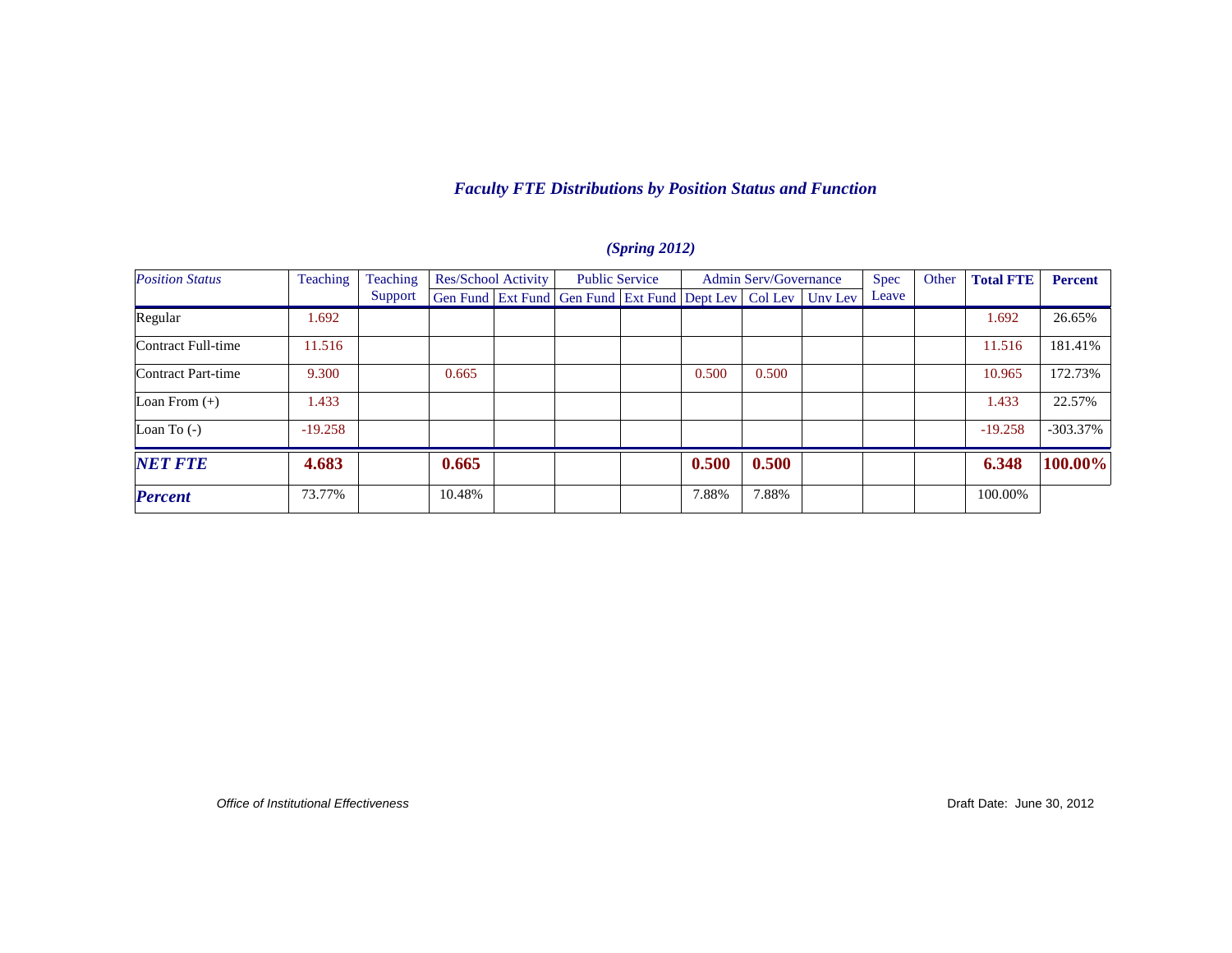### *Faculty FTE Distributions by Position Status and Function*

| <b>Position Status</b> | Teaching  | Teaching | Res/School Activity |  | <b>Public Service</b>                                            |  | <b>Admin Serv/Governance</b> |       |  | Spec  | Other | <b>Total FTE</b> | <b>Percent</b> |
|------------------------|-----------|----------|---------------------|--|------------------------------------------------------------------|--|------------------------------|-------|--|-------|-------|------------------|----------------|
|                        |           | Support  |                     |  | Gen Fund Ext Fund Gen Fund Ext Fund Dept Lev   Col Lev   Unv Lev |  |                              |       |  | Leave |       |                  |                |
| Regular                | .692      |          |                     |  |                                                                  |  |                              |       |  |       |       | 1.692            | 26.65%         |
| Contract Full-time     | 11.516    |          |                     |  |                                                                  |  |                              |       |  |       |       | 11.516           | 181.41%        |
| Contract Part-time     | 9.300     |          | 0.665               |  |                                                                  |  | 0.500                        | 0.500 |  |       |       | 10.965           | 172.73%        |
| Loan From $(+)$        | 1.433     |          |                     |  |                                                                  |  |                              |       |  |       |       | 1.433            | 22.57%         |
| Loan To $(-)$          | $-19.258$ |          |                     |  |                                                                  |  |                              |       |  |       |       | $-19.258$        | $-303.37%$     |
| <b>NET FTE</b>         | 4.683     |          | 0.665               |  |                                                                  |  | 0.500                        | 0.500 |  |       |       | 6.348            | 100.00%        |
| <b>Percent</b>         | 73.77%    |          | 10.48%              |  |                                                                  |  | 7.88%                        | 7.88% |  |       |       | 100.00%          |                |

#### *(Spring 2012)*